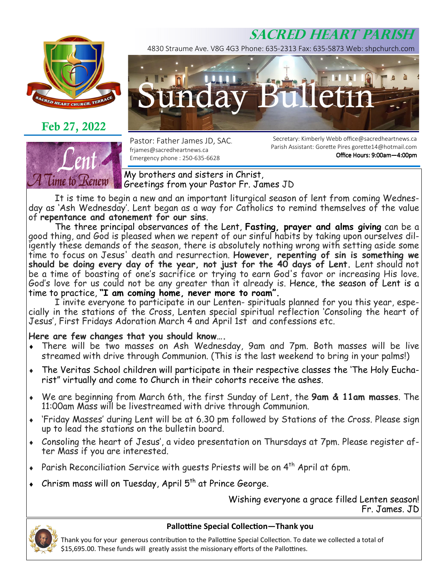# **SACRED HEART PARISH**



**Feb 27, 2022** 



4830 Straume Ave. V8G 4G3 Phone: 635-2313 Fax: 635-5873 Web: shpchurch.com



Pastor: Father James JD, SAC. frjames@sacredheartnews.ca Emergency phone : 250-635-6628

Secretary: Kimberly Webb office@sacredheartnews.ca Parish Assistant: Gorette Pires gorette14@hotmail.com Office Hours: 9:00am-4:00pm

My brothers and sisters in Christ, Greetings from your Pastor Fr. James JD

 It is time to begin a new and an important liturgical season of lent from coming Wednesday as 'Ash Wednesday'. Lent began as a way for Catholics to remind themselves of the value of **repentance and atonement for our sins**.

 The three principal observances of the Lent, **Fasting, prayer and alms giving** can be a good thing, and God is pleased when we repent of our sinful habits by taking upon ourselves diligently these demands of the season, there is absolutely nothing wrong with setting aside some time to focus on Jesus' death and resurrection. **However, repenting of sin is something we should be doing every day of the year, not just for the 40 days of Lent.** Lent should not be a time of boasting of one's sacrifice or trying to earn God's favor or increasing His love. God's love for us could not be any greater than it already is. Hence, the season of Lent is a time to practice, **"I am coming home, never more to roam".**

 I invite everyone to participate in our Lenten- spirituals planned for you this year, especially in the stations of the Cross, Lenten special spiritual reflection 'Consoling the heart of Jesus', First Fridays Adoration March 4 and April 1st and confessions etc.

### **Here are few changes that you should know….**

- ♦ There will be two masses on Ash Wednesday, 9am and 7pm. Both masses will be live streamed with drive through Communion. (This is the last weekend to bring in your palms!)
- The Veritas School children will participate in their respective classes the 'The Holy Eucharist" virtually and come to Church in their cohorts receive the ashes.
- ♦ We are beginning from March 6th, the first Sunday of Lent, the **9am & 11am masses**. The 11:00am Mass will be livestreamed with drive through Communion.
- 'Friday Masses' during Lent will be at 6.30 pm followed by Stations of the Cross. Please sign up to lead the stations on the bulletin board.
- Consoling the heart of Jesus', a video presentation on Thursdays at 7pm. Please register after Mass if you are interested.
- Parish Reconciliation Service with guests Priests will be on 4<sup>th</sup> April at 6pm.
- Chrism mass will on Tuesday, April  $5<sup>th</sup>$  at Prince George.

Wishing everyone a grace filled Lenten season! Fr. James. JD

![](_page_0_Picture_21.jpeg)

#### **Pallottine Special Collection—Thank you**

Thank you for your generous contribution to the Pallottine Special Collection. To date we collected a total of \$15,695.00. These funds will greatly assist the missionary efforts of the Pallottines.